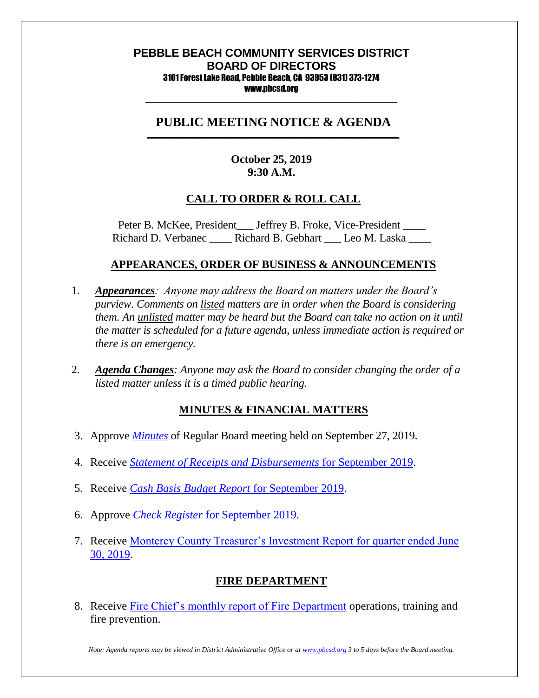#### **PEBBLE BEACH COMMUNITY SERVICES DISTRICT BOARD OF DIRECTORS** 3101 Forest Lake Road, Pebble Beach, CA 93953 (831) 373-1274 www.pbcsd.org

\_\_\_\_\_\_\_\_\_\_\_\_\_\_\_\_\_\_\_\_\_\_\_\_\_\_\_\_\_\_\_\_\_\_\_\_\_\_\_\_\_\_\_\_\_\_\_\_\_\_\_\_\_\_\_\_\_\_\_

#### **PUBLIC MEETING NOTICE & AGENDA \_\_\_\_\_\_\_\_\_\_\_\_\_\_\_\_\_\_\_\_\_\_\_\_\_\_\_\_\_\_\_\_\_\_\_\_\_\_\_\_\_\_\_\_\_\_\_\_\_\_\_\_\_\_\_\_\_\_\_**

## **October 25, 2019 9:30 A.M.**

## **CALL TO ORDER & ROLL CALL**

Peter B. McKee, President \_\_\_ Jeffrey B. Froke, Vice-President \_\_\_\_ Richard D. Verbanec **Richard B. Gebhart** Leo M. Laska

#### **APPEARANCES, ORDER OF BUSINESS & ANNOUNCEMENTS**

- 1. *Appearances: Anyone may address the Board on matters under the Board's purview. Comments on listed matters are in order when the Board is considering them. An unlisted matter may be heard but the Board can take no action on it until the matter is scheduled for a future agenda, unless immediate action is required or there is an emergency.*
- 2. *Agenda Changes: Anyone may ask the Board to consider changing the order of a listed matter unless it is a timed public hearing.*

### **MINUTES & FINANCIAL MATTERS**

- 3. Approve *[Minutes](http://pbcsd.org/wp-content/uploads/pbcsd/meetings/board/2019/2019-10-25/03-minutes.pdf)* of Regular Board meeting held on September 27, 2019.
- 4. Receive *[Statement of Receipts and Disbursements](http://pbcsd.org/wp-content/uploads/pbcsd/meetings/board/2019/2019-10-25/04-statement.pdf)* for September 2019.
- 5. Receive *[Cash Basis Budget Report](http://pbcsd.org/wp-content/uploads/pbcsd/meetings/board/2019/2019-10-25/05-cash-basis-budget-report.pdf)* for September 2019.
- 6. Approve *[Check Register](http://pbcsd.org/wp-content/uploads/pbcsd/meetings/board/2019/2019-10-25/06-check-register-september.pdf)* for September 2019.
- 7. Receive [Monterey County Treasurer's Investment Report for quarter ended June](http://pbcsd.org/wp-content/uploads/pbcsd/meetings/board/2019/2019-10-25/07-monterey-county-treasurer-investment-report-for-quarter-ended-6-30-19.pdf)  [30, 2019.](http://pbcsd.org/wp-content/uploads/pbcsd/meetings/board/2019/2019-10-25/07-monterey-county-treasurer-investment-report-for-quarter-ended-6-30-19.pdf)

### **FIRE DEPARTMENT**

8. Receive [Fire Chief's monthly report of Fire Department](http://pbcsd.org/wp-content/uploads/pbcsd/meetings/board/2019/2019-10-25/08-fire-department-monthly-report.pdf) operations, training and fire prevention.

*Note: Agenda reports may be viewed in District Administrative Office or a[t www.pbcsd.org](http://www.pbcsd.org/) 3 to 5 days before the Board meeting.*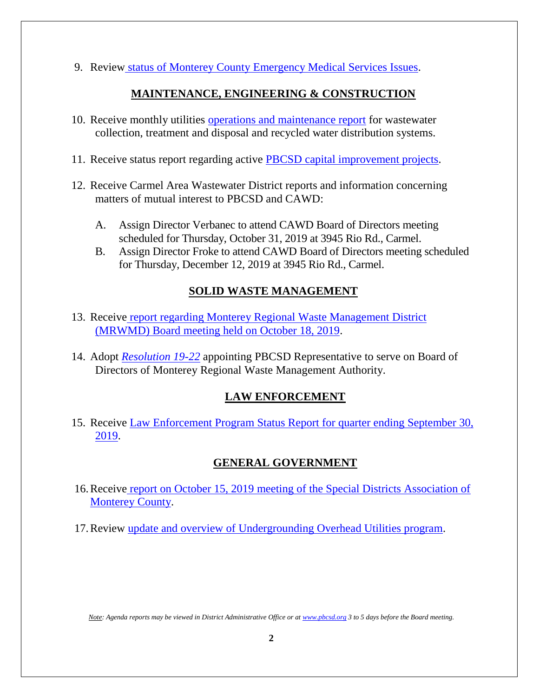9. Review status of Monterey County [Emergency Medical Services Issues.](hhttp://pbcsd.org/wp-content/uploads/pbcsd/meetings/board/2019/2019-10-25/09-status-of-monterey-county-ems-issues.pdf)

## **MAINTENANCE, ENGINEERING & CONSTRUCTION**

- 10. Receive monthly utilities [operations and maintenance report](http://pbcsd.org/wp-content/uploads/pbcsd/meetings/board/2019/2019-10-25/10-operations-maintenance-report-for-october-2019.pdf) for wastewater collection, treatment and disposal and recycled water distribution systems.
- 11. Receive status report regarding active **PBCSD** capital improvement projects.
- 12. Receive Carmel Area Wastewater District reports and information concerning matters of mutual interest to PBCSD and CAWD:
	- A. Assign Director Verbanec to attend CAWD Board of Directors meeting scheduled for Thursday, October 31, 2019 at 3945 Rio Rd., Carmel.
	- B. Assign Director Froke to attend CAWD Board of Directors meeting scheduled for Thursday, December 12, 2019 at 3945 Rio Rd., Carmel.

# **SOLID WASTE MANAGEMENT**

- 13. Receive [report regarding Monterey Regional Waste Management District](http://pbcsd.org/wp-content/uploads/pbcsd/meetings/board/2019/2019-10-25/13-MRWMD-board-meeting-agendas-&-GM-report.pdf)  [\(MRWMD\) Board meeting held on October](http://pbcsd.org/wp-content/uploads/pbcsd/meetings/board/2019/2019-10-25/13-MRWMD-board-meeting-agendas-&-GM-report.pdf) 18, 2019.
- 14. Adopt *[Resolution 19-22](http://pbcsd.org/wp-content/uploads/pbcsd/meetings/board/2019/2019-10-25/14-RES-19-22-appointing-PBCSD-Representative-to-serve-MRWMA-Board.pdf)* appointing PBCSD Representative to serve on Board of Directors of Monterey Regional Waste Management Authority.

# **LAW ENFORCEMENT**

15. Receive [Law Enforcement Program Status Report for quarter ending September 30,](http://pbcsd.org/wp-content/uploads/pbcsd/meetings/board/2019/2019-10-25/15-Law-Enforcement-Program-Status-Report-for-Quarter-Ending-Sept-30-2019.pdf)  [2019.](http://pbcsd.org/wp-content/uploads/pbcsd/meetings/board/2019/2019-10-25/15-Law-Enforcement-Program-Status-Report-for-Quarter-Ending-Sept-30-2019.pdf)

# **GENERAL GOVERNMENT**

- 16.Receive [report on October 15, 2019 meeting of the Special Districts Association of](http://pbcsd.org/wp-content/uploads/pbcsd/meetings/board/2019/2019-10-25/16-Special-Districts-Association-Monterey-County-Meeting.pdf)  [Monterey County.](http://pbcsd.org/wp-content/uploads/pbcsd/meetings/board/2019/2019-10-25/16-Special-Districts-Association-Monterey-County-Meeting.pdf)
- 17.Review [update and overview of Undergrounding Overhead Utilities program.](http://pbcsd.org/wp-content/uploads/pbcsd/meetings/board/2019/2019-10-25/17-Undergrounding-Overhead-Utilities-Program-Review.pdf)

*Note: Agenda reports may be viewed in District Administrative Office or a[t www.pbcsd.org](http://www.pbcsd.org/) 3 to 5 days before the Board meeting.*